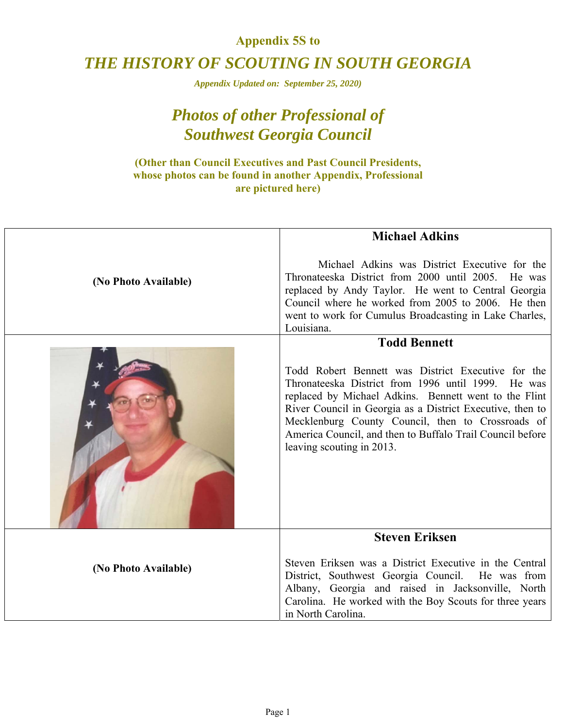#### **Appendix 5S to**

## *THE HISTORY OF SCOUTING IN SOUTH GEORGIA*

*Appendix Updated on: September 25, 2020)* 

# *Photos of other Professional of Southwest Georgia Council*

#### **(Other than Council Executives and Past Council Presidents, whose photos can be found in another Appendix, Professional are pictured here)**

|                      | <b>Michael Adkins</b>                                                                                                                                                                                                                                                                                                                                                         |
|----------------------|-------------------------------------------------------------------------------------------------------------------------------------------------------------------------------------------------------------------------------------------------------------------------------------------------------------------------------------------------------------------------------|
| (No Photo Available) | Michael Adkins was District Executive for the<br>Thronateeska District from 2000 until 2005. He was<br>replaced by Andy Taylor. He went to Central Georgia<br>Council where he worked from 2005 to 2006. He then<br>went to work for Cumulus Broadcasting in Lake Charles,<br>Louisiana.                                                                                      |
|                      | <b>Todd Bennett</b>                                                                                                                                                                                                                                                                                                                                                           |
|                      | Todd Robert Bennett was District Executive for the<br>Thronateeska District from 1996 until 1999. He was<br>replaced by Michael Adkins. Bennett went to the Flint<br>River Council in Georgia as a District Executive, then to<br>Mecklenburg County Council, then to Crossroads of<br>America Council, and then to Buffalo Trail Council before<br>leaving scouting in 2013. |
|                      | <b>Steven Eriksen</b>                                                                                                                                                                                                                                                                                                                                                         |
| (No Photo Available) | Steven Eriksen was a District Executive in the Central<br>District, Southwest Georgia Council. He was from<br>Albany, Georgia and raised in Jacksonville, North<br>Carolina. He worked with the Boy Scouts for three years<br>in North Carolina.                                                                                                                              |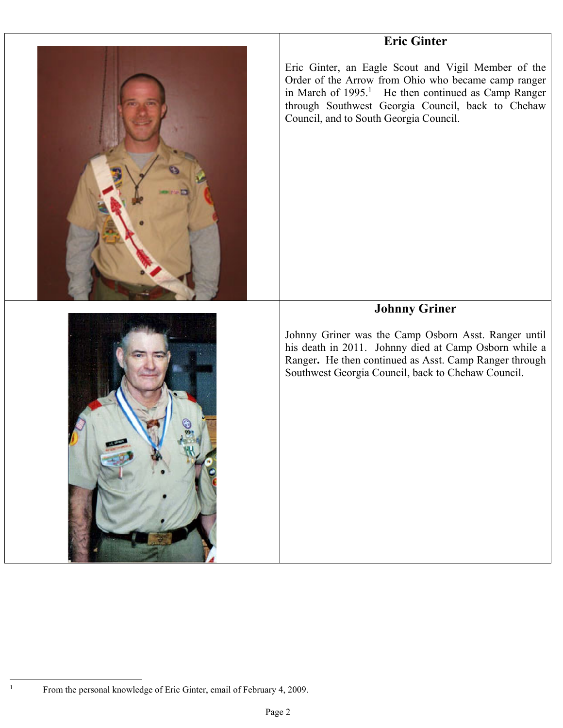## **Eric Ginter**



Eric Ginter, an Eagle Scout and Vigil Member of the Order of the Arrow from Ohio who became camp ranger in March of  $1995$ <sup>1</sup> He then continued as Camp Ranger through Southwest Georgia Council, back to Chehaw Council, and to South Georgia Council.

### **Johnny Griner**

Johnny Griner was the Camp Osborn Asst. Ranger until his death in 2011. Johnny died at Camp Osborn while a Ranger**.** He then continued as Asst. Camp Ranger through Southwest Georgia Council, back to Chehaw Council.



 $\frac{1}{1}$ 

From the personal knowledge of Eric Ginter, email of February 4, 2009.